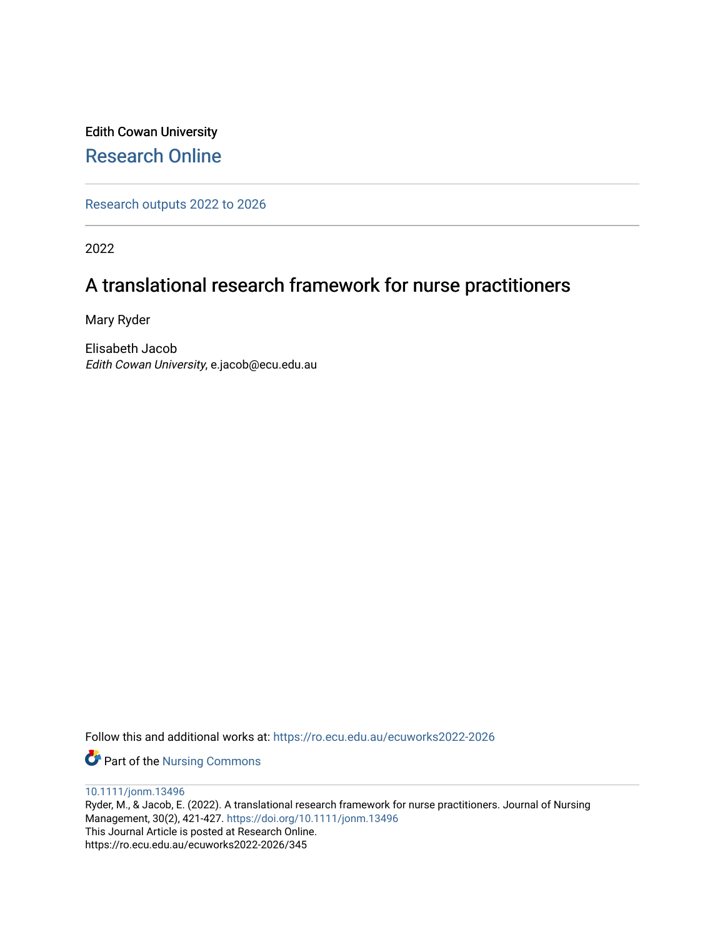## Edith Cowan University [Research Online](https://ro.ecu.edu.au/)

[Research outputs 2022 to 2026](https://ro.ecu.edu.au/ecuworks2022-2026) 

2022

# A translational research framework for nurse practitioners

Mary Ryder

Elisabeth Jacob Edith Cowan University, e.jacob@ecu.edu.au

Follow this and additional works at: [https://ro.ecu.edu.au/ecuworks2022-2026](https://ro.ecu.edu.au/ecuworks2022-2026?utm_source=ro.ecu.edu.au%2Fecuworks2022-2026%2F345&utm_medium=PDF&utm_campaign=PDFCoverPages)

Part of the [Nursing Commons](http://network.bepress.com/hgg/discipline/718?utm_source=ro.ecu.edu.au%2Fecuworks2022-2026%2F345&utm_medium=PDF&utm_campaign=PDFCoverPages) 

[10.1111/jonm.13496](http://dx.doi.org/10.1111/jonm.13496)

Ryder, M., & Jacob, E. (2022). A translational research framework for nurse practitioners. Journal of Nursing Management, 30(2), 421-427. <https://doi.org/10.1111/jonm.13496> This Journal Article is posted at Research Online. https://ro.ecu.edu.au/ecuworks2022-2026/345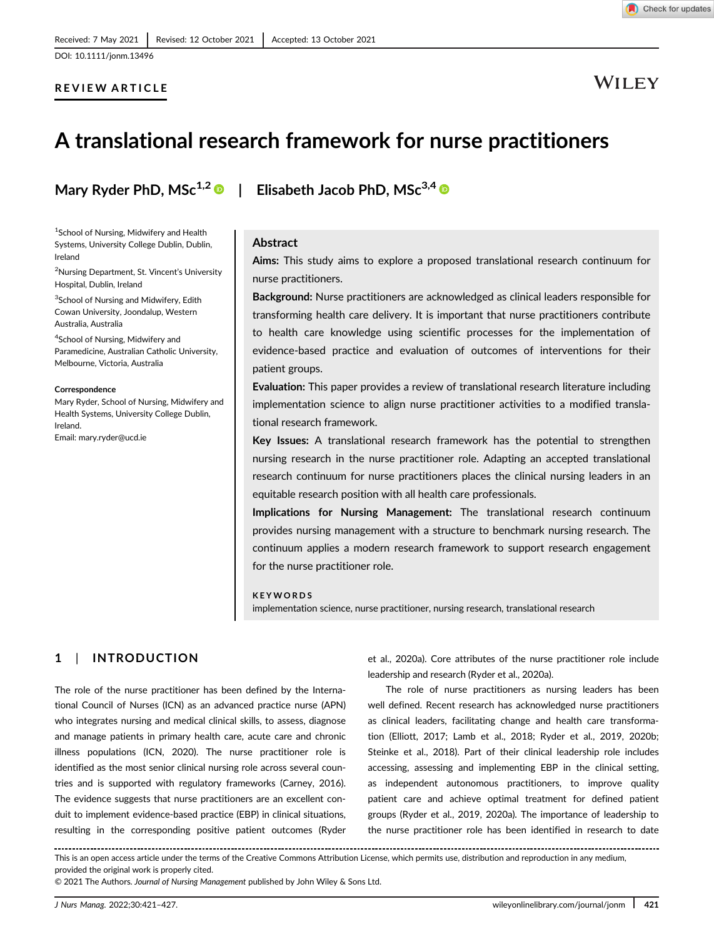[DOI: 10.1111/jonm.13496](https://doi.org/10.1111/jonm.13496)

#### REVIEW ARTICLE

# WILEY

# A translational research framework for nurse practitioners

<sup>1</sup>School of Nursing, Midwifery and Health Systems, University College Dublin, Dublin, Ireland

<sup>2</sup>Nursing Department, St. Vincent's University Hospital, Dublin, Ireland

<sup>3</sup>School of Nursing and Midwifery, Edith Cowan University, Joondalup, Western Australia, Australia

4 School of Nursing, Midwifery and Paramedicine, Australian Catholic University, Melbourne, Victoria, Australia

#### **Correspondence**

Mary Ryder, School of Nursing, Midwifery and Health Systems, University College Dublin, Ireland. Email: [mary.ryder@ucd.ie](mailto:mary.ryder@ucd.ie)

### Mary Ryder PhD,  $MSc^{1,2}$  | Elisabeth Jacob PhD,  $MSc^{3,4}$   $\odot$

#### Abstract

Aims: This study aims to explore a proposed translational research continuum for nurse practitioners.

Background: Nurse practitioners are acknowledged as clinical leaders responsible for transforming health care delivery. It is important that nurse practitioners contribute to health care knowledge using scientific processes for the implementation of evidence-based practice and evaluation of outcomes of interventions for their patient groups.

Evaluation: This paper provides a review of translational research literature including implementation science to align nurse practitioner activities to a modified translational research framework.

Key Issues: A translational research framework has the potential to strengthen nursing research in the nurse practitioner role. Adapting an accepted translational research continuum for nurse practitioners places the clinical nursing leaders in an equitable research position with all health care professionals.

Implications for Nursing Management: The translational research continuum provides nursing management with a structure to benchmark nursing research. The continuum applies a modern research framework to support research engagement for the nurse practitioner role.

#### KEYWORDS

implementation science, nurse practitioner, nursing research, translational research

#### 1 | INTRODUCTION

The role of the nurse practitioner has been defined by the International Council of Nurses (ICN) as an advanced practice nurse (APN) who integrates nursing and medical clinical skills, to assess, diagnose and manage patients in primary health care, acute care and chronic illness populations (ICN, 2020). The nurse practitioner role is identified as the most senior clinical nursing role across several countries and is supported with regulatory frameworks (Carney, 2016). The evidence suggests that nurse practitioners are an excellent conduit to implement evidence-based practice (EBP) in clinical situations, resulting in the corresponding positive patient outcomes (Ryder et al., 2020a). Core attributes of the nurse practitioner role include leadership and research (Ryder et al., 2020a).

The role of nurse practitioners as nursing leaders has been well defined. Recent research has acknowledged nurse practitioners as clinical leaders, facilitating change and health care transformation (Elliott, 2017; Lamb et al., 2018; Ryder et al., 2019, 2020b; Steinke et al., 2018). Part of their clinical leadership role includes accessing, assessing and implementing EBP in the clinical setting, as independent autonomous practitioners, to improve quality patient care and achieve optimal treatment for defined patient groups (Ryder et al., 2019, 2020a). The importance of leadership to the nurse practitioner role has been identified in research to date

This is an open access article under the terms of the [Creative Commons Attribution](http://creativecommons.org/licenses/by/4.0/) License, which permits use, distribution and reproduction in any medium, provided the original work is properly cited.

© 2021 The Authors. Journal of Nursing Management published by John Wiley & Sons Ltd.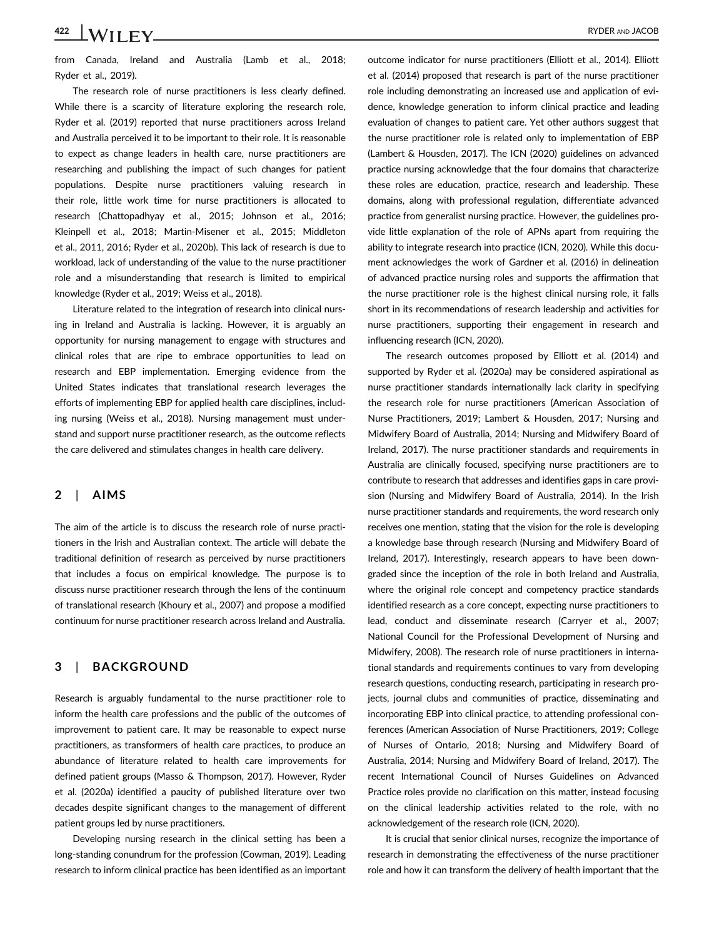422 WII FV RYDER AND JACOB

from Canada, Ireland and Australia (Lamb et al., 2018; Ryder et al., 2019).

The research role of nurse practitioners is less clearly defined. While there is a scarcity of literature exploring the research role, Ryder et al. (2019) reported that nurse practitioners across Ireland and Australia perceived it to be important to their role. It is reasonable to expect as change leaders in health care, nurse practitioners are researching and publishing the impact of such changes for patient populations. Despite nurse practitioners valuing research in their role, little work time for nurse practitioners is allocated to research (Chattopadhyay et al., 2015; Johnson et al., 2016; Kleinpell et al., 2018; Martin-Misener et al., 2015; Middleton et al., 2011, 2016; Ryder et al., 2020b). This lack of research is due to workload, lack of understanding of the value to the nurse practitioner role and a misunderstanding that research is limited to empirical knowledge (Ryder et al., 2019; Weiss et al., 2018).

Literature related to the integration of research into clinical nursing in Ireland and Australia is lacking. However, it is arguably an opportunity for nursing management to engage with structures and clinical roles that are ripe to embrace opportunities to lead on research and EBP implementation. Emerging evidence from the United States indicates that translational research leverages the efforts of implementing EBP for applied health care disciplines, including nursing (Weiss et al., 2018). Nursing management must understand and support nurse practitioner research, as the outcome reflects the care delivered and stimulates changes in health care delivery.

#### 2 | AIMS

The aim of the article is to discuss the research role of nurse practitioners in the Irish and Australian context. The article will debate the traditional definition of research as perceived by nurse practitioners that includes a focus on empirical knowledge. The purpose is to discuss nurse practitioner research through the lens of the continuum of translational research (Khoury et al., 2007) and propose a modified continuum for nurse practitioner research across Ireland and Australia.

#### 3 | BACKGROUND

Research is arguably fundamental to the nurse practitioner role to inform the health care professions and the public of the outcomes of improvement to patient care. It may be reasonable to expect nurse practitioners, as transformers of health care practices, to produce an abundance of literature related to health care improvements for defined patient groups (Masso & Thompson, 2017). However, Ryder et al. (2020a) identified a paucity of published literature over two decades despite significant changes to the management of different patient groups led by nurse practitioners.

Developing nursing research in the clinical setting has been a long-standing conundrum for the profession (Cowman, 2019). Leading research to inform clinical practice has been identified as an important

outcome indicator for nurse practitioners (Elliott et al., 2014). Elliott et al. (2014) proposed that research is part of the nurse practitioner role including demonstrating an increased use and application of evidence, knowledge generation to inform clinical practice and leading evaluation of changes to patient care. Yet other authors suggest that the nurse practitioner role is related only to implementation of EBP (Lambert & Housden, 2017). The ICN (2020) guidelines on advanced practice nursing acknowledge that the four domains that characterize these roles are education, practice, research and leadership. These domains, along with professional regulation, differentiate advanced practice from generalist nursing practice. However, the guidelines provide little explanation of the role of APNs apart from requiring the ability to integrate research into practice (ICN, 2020). While this document acknowledges the work of Gardner et al. (2016) in delineation of advanced practice nursing roles and supports the affirmation that the nurse practitioner role is the highest clinical nursing role, it falls short in its recommendations of research leadership and activities for nurse practitioners, supporting their engagement in research and influencing research (ICN, 2020).

The research outcomes proposed by Elliott et al. (2014) and supported by Ryder et al. (2020a) may be considered aspirational as nurse practitioner standards internationally lack clarity in specifying the research role for nurse practitioners (American Association of Nurse Practitioners, 2019; Lambert & Housden, 2017; Nursing and Midwifery Board of Australia, 2014; Nursing and Midwifery Board of Ireland, 2017). The nurse practitioner standards and requirements in Australia are clinically focused, specifying nurse practitioners are to contribute to research that addresses and identifies gaps in care provision (Nursing and Midwifery Board of Australia, 2014). In the Irish nurse practitioner standards and requirements, the word research only receives one mention, stating that the vision for the role is developing a knowledge base through research (Nursing and Midwifery Board of Ireland, 2017). Interestingly, research appears to have been downgraded since the inception of the role in both Ireland and Australia, where the original role concept and competency practice standards identified research as a core concept, expecting nurse practitioners to lead, conduct and disseminate research (Carryer et al., 2007; National Council for the Professional Development of Nursing and Midwifery, 2008). The research role of nurse practitioners in international standards and requirements continues to vary from developing research questions, conducting research, participating in research projects, journal clubs and communities of practice, disseminating and incorporating EBP into clinical practice, to attending professional conferences (American Association of Nurse Practitioners, 2019; College of Nurses of Ontario, 2018; Nursing and Midwifery Board of Australia, 2014; Nursing and Midwifery Board of Ireland, 2017). The recent International Council of Nurses Guidelines on Advanced Practice roles provide no clarification on this matter, instead focusing on the clinical leadership activities related to the role, with no acknowledgement of the research role (ICN, 2020).

It is crucial that senior clinical nurses, recognize the importance of research in demonstrating the effectiveness of the nurse practitioner role and how it can transform the delivery of health important that the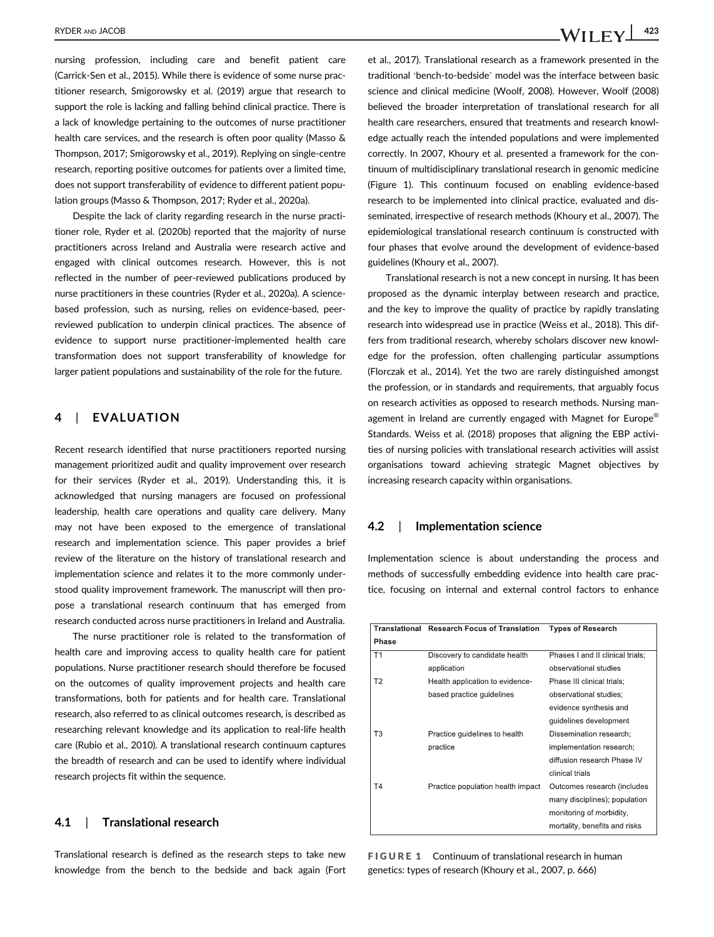nursing profession, including care and benefit patient care (Carrick-Sen et al., 2015). While there is evidence of some nurse practitioner research, Smigorowsky et al. (2019) argue that research to support the role is lacking and falling behind clinical practice. There is a lack of knowledge pertaining to the outcomes of nurse practitioner health care services, and the research is often poor quality (Masso & Thompson, 2017; Smigorowsky et al., 2019). Replying on single-centre research, reporting positive outcomes for patients over a limited time, does not support transferability of evidence to different patient population groups (Masso & Thompson, 2017; Ryder et al., 2020a).

Despite the lack of clarity regarding research in the nurse practitioner role, Ryder et al. (2020b) reported that the majority of nurse practitioners across Ireland and Australia were research active and engaged with clinical outcomes research. However, this is not reflected in the number of peer-reviewed publications produced by nurse practitioners in these countries (Ryder et al., 2020a). A sciencebased profession, such as nursing, relies on evidence-based, peerreviewed publication to underpin clinical practices. The absence of evidence to support nurse practitioner-implemented health care transformation does not support transferability of knowledge for larger patient populations and sustainability of the role for the future.

#### 4 | EVALUATION

Recent research identified that nurse practitioners reported nursing management prioritized audit and quality improvement over research for their services (Ryder et al., 2019). Understanding this, it is acknowledged that nursing managers are focused on professional leadership, health care operations and quality care delivery. Many may not have been exposed to the emergence of translational research and implementation science. This paper provides a brief review of the literature on the history of translational research and implementation science and relates it to the more commonly understood quality improvement framework. The manuscript will then propose a translational research continuum that has emerged from research conducted across nurse practitioners in Ireland and Australia.

The nurse practitioner role is related to the transformation of health care and improving access to quality health care for patient populations. Nurse practitioner research should therefore be focused on the outcomes of quality improvement projects and health care transformations, both for patients and for health care. Translational research, also referred to as clinical outcomes research, is described as researching relevant knowledge and its application to real-life health care (Rubio et al., 2010). A translational research continuum captures the breadth of research and can be used to identify where individual research projects fit within the sequence.

#### 4.1 | Translational research

Translational research is defined as the research steps to take new knowledge from the bench to the bedside and back again (Fort

et al., 2017). Translational research as a framework presented in the traditional 'bench-to-bedside' model was the interface between basic science and clinical medicine (Woolf, 2008). However, Woolf (2008) believed the broader interpretation of translational research for all health care researchers, ensured that treatments and research knowledge actually reach the intended populations and were implemented correctly. In 2007, Khoury et al. presented a framework for the continuum of multidisciplinary translational research in genomic medicine (Figure 1). This continuum focused on enabling evidence-based research to be implemented into clinical practice, evaluated and disseminated, irrespective of research methods (Khoury et al., 2007). The epidemiological translational research continuum is constructed with four phases that evolve around the development of evidence-based guidelines (Khoury et al., 2007).

Translational research is not a new concept in nursing. It has been proposed as the dynamic interplay between research and practice, and the key to improve the quality of practice by rapidly translating research into widespread use in practice (Weiss et al., 2018). This differs from traditional research, whereby scholars discover new knowledge for the profession, often challenging particular assumptions (Florczak et al., 2014). Yet the two are rarely distinguished amongst the profession, or in standards and requirements, that arguably focus on research activities as opposed to research methods. Nursing management in Ireland are currently engaged with Magnet for Europe® Standards. Weiss et al. (2018) proposes that aligning the EBP activities of nursing policies with translational research activities will assist organisations toward achieving strategic Magnet objectives by increasing research capacity within organisations.

#### 4.2 | Implementation science

Implementation science is about understanding the process and methods of successfully embedding evidence into health care practice, focusing on internal and external control factors to enhance

| Translational  | <b>Research Focus of Translation</b> | <b>Types of Research</b>         |
|----------------|--------------------------------------|----------------------------------|
| Phase          |                                      |                                  |
| T1             | Discovery to candidate health        | Phases I and II clinical trials; |
|                | application                          | observational studies            |
| T <sub>2</sub> | Health application to evidence-      | Phase III clinical trials:       |
|                | based practice guidelines            | observational studies:           |
|                |                                      | evidence synthesis and           |
|                |                                      | quidelines development           |
| T3             | Practice guidelines to health        | Dissemination research;          |
|                | practice                             | implementation research;         |
|                |                                      | diffusion research Phase IV      |
|                |                                      | clinical trials                  |
| T4             | Practice population health impact    | Outcomes research (includes      |
|                |                                      | many disciplines); population    |
|                |                                      | monitoring of morbidity,         |
|                |                                      | mortality, benefits and risks    |

FIGURE 1 Continuum of translational research in human genetics: types of research (Khoury et al., 2007, p. 666)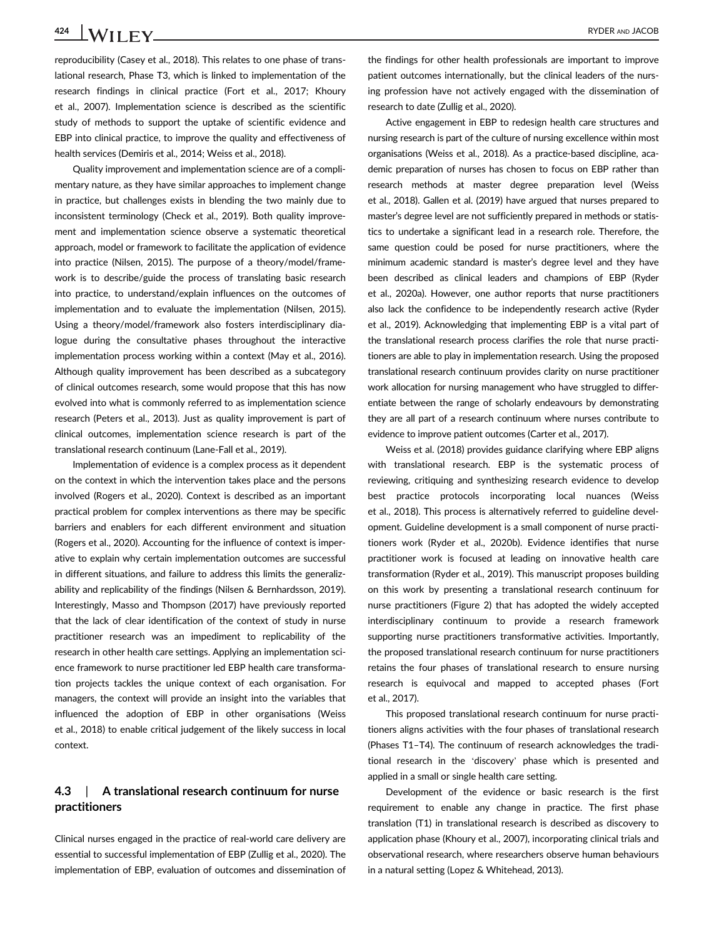424 WII EV RYDER AND JACOB

reproducibility (Casey et al., 2018). This relates to one phase of translational research, Phase T3, which is linked to implementation of the research findings in clinical practice (Fort et al., 2017; Khoury et al., 2007). Implementation science is described as the scientific study of methods to support the uptake of scientific evidence and EBP into clinical practice, to improve the quality and effectiveness of health services (Demiris et al., 2014; Weiss et al., 2018).

Quality improvement and implementation science are of a complimentary nature, as they have similar approaches to implement change in practice, but challenges exists in blending the two mainly due to inconsistent terminology (Check et al., 2019). Both quality improvement and implementation science observe a systematic theoretical approach, model or framework to facilitate the application of evidence into practice (Nilsen, 2015). The purpose of a theory/model/framework is to describe/guide the process of translating basic research into practice, to understand/explain influences on the outcomes of implementation and to evaluate the implementation (Nilsen, 2015). Using a theory/model/framework also fosters interdisciplinary dialogue during the consultative phases throughout the interactive implementation process working within a context (May et al., 2016). Although quality improvement has been described as a subcategory of clinical outcomes research, some would propose that this has now evolved into what is commonly referred to as implementation science research (Peters et al., 2013). Just as quality improvement is part of clinical outcomes, implementation science research is part of the translational research continuum (Lane-Fall et al., 2019).

Implementation of evidence is a complex process as it dependent on the context in which the intervention takes place and the persons involved (Rogers et al., 2020). Context is described as an important practical problem for complex interventions as there may be specific barriers and enablers for each different environment and situation (Rogers et al., 2020). Accounting for the influence of context is imperative to explain why certain implementation outcomes are successful in different situations, and failure to address this limits the generalizability and replicability of the findings (Nilsen & Bernhardsson, 2019). Interestingly, Masso and Thompson (2017) have previously reported that the lack of clear identification of the context of study in nurse practitioner research was an impediment to replicability of the research in other health care settings. Applying an implementation science framework to nurse practitioner led EBP health care transformation projects tackles the unique context of each organisation. For managers, the context will provide an insight into the variables that influenced the adoption of EBP in other organisations (Weiss et al., 2018) to enable critical judgement of the likely success in local context.

#### 4.3 | A translational research continuum for nurse practitioners

Clinical nurses engaged in the practice of real-world care delivery are essential to successful implementation of EBP (Zullig et al., 2020). The implementation of EBP, evaluation of outcomes and dissemination of

the findings for other health professionals are important to improve patient outcomes internationally, but the clinical leaders of the nursing profession have not actively engaged with the dissemination of research to date (Zullig et al., 2020).

Active engagement in EBP to redesign health care structures and nursing research is part of the culture of nursing excellence within most organisations (Weiss et al., 2018). As a practice-based discipline, academic preparation of nurses has chosen to focus on EBP rather than research methods at master degree preparation level (Weiss et al., 2018). Gallen et al. (2019) have argued that nurses prepared to master's degree level are not sufficiently prepared in methods or statistics to undertake a significant lead in a research role. Therefore, the same question could be posed for nurse practitioners, where the minimum academic standard is master's degree level and they have been described as clinical leaders and champions of EBP (Ryder et al., 2020a). However, one author reports that nurse practitioners also lack the confidence to be independently research active (Ryder et al., 2019). Acknowledging that implementing EBP is a vital part of the translational research process clarifies the role that nurse practitioners are able to play in implementation research. Using the proposed translational research continuum provides clarity on nurse practitioner work allocation for nursing management who have struggled to differentiate between the range of scholarly endeavours by demonstrating they are all part of a research continuum where nurses contribute to evidence to improve patient outcomes (Carter et al., 2017).

Weiss et al. (2018) provides guidance clarifying where EBP aligns with translational research. EBP is the systematic process of reviewing, critiquing and synthesizing research evidence to develop best practice protocols incorporating local nuances (Weiss et al., 2018). This process is alternatively referred to guideline development. Guideline development is a small component of nurse practitioners work (Ryder et al., 2020b). Evidence identifies that nurse practitioner work is focused at leading on innovative health care transformation (Ryder et al., 2019). This manuscript proposes building on this work by presenting a translational research continuum for nurse practitioners (Figure 2) that has adopted the widely accepted interdisciplinary continuum to provide a research framework supporting nurse practitioners transformative activities. Importantly, the proposed translational research continuum for nurse practitioners retains the four phases of translational research to ensure nursing research is equivocal and mapped to accepted phases (Fort et al., 2017).

This proposed translational research continuum for nurse practitioners aligns activities with the four phases of translational research (Phases T1–T4). The continuum of research acknowledges the traditional research in the 'discovery' phase which is presented and applied in a small or single health care setting.

Development of the evidence or basic research is the first requirement to enable any change in practice. The first phase translation (T1) in translational research is described as discovery to application phase (Khoury et al., 2007), incorporating clinical trials and observational research, where researchers observe human behaviours in a natural setting (Lopez & Whitehead, 2013).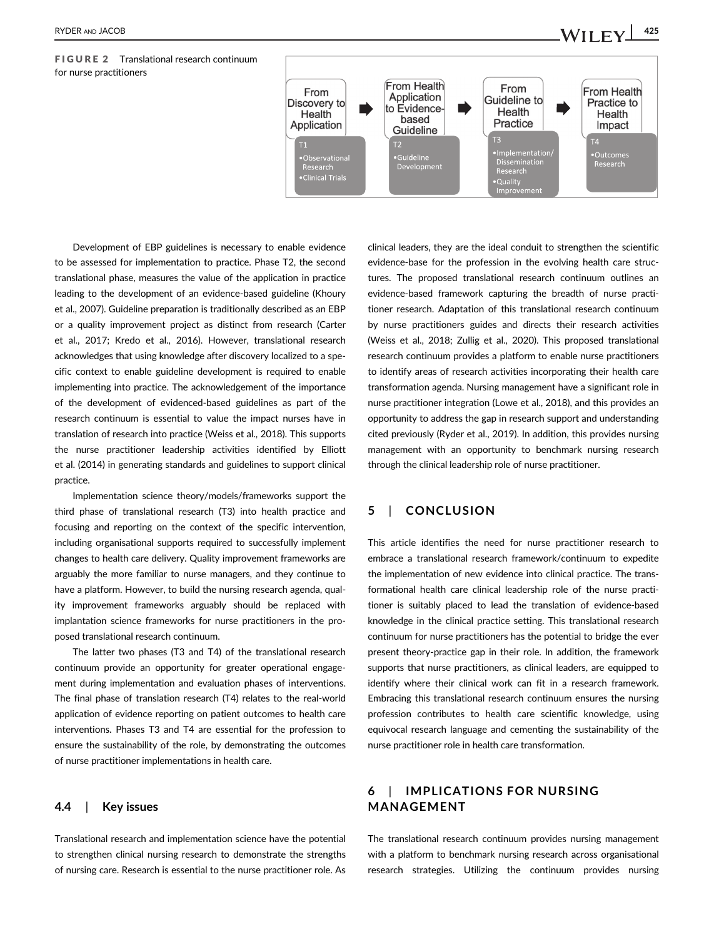FIGURE 2 Translational research continuum for nurse practitioners



Development of EBP guidelines is necessary to enable evidence to be assessed for implementation to practice. Phase T2, the second translational phase, measures the value of the application in practice leading to the development of an evidence-based guideline (Khoury et al., 2007). Guideline preparation is traditionally described as an EBP or a quality improvement project as distinct from research (Carter et al., 2017; Kredo et al., 2016). However, translational research acknowledges that using knowledge after discovery localized to a specific context to enable guideline development is required to enable implementing into practice. The acknowledgement of the importance of the development of evidenced-based guidelines as part of the research continuum is essential to value the impact nurses have in translation of research into practice (Weiss et al., 2018). This supports the nurse practitioner leadership activities identified by Elliott et al. (2014) in generating standards and guidelines to support clinical practice.

Implementation science theory/models/frameworks support the third phase of translational research (T3) into health practice and focusing and reporting on the context of the specific intervention, including organisational supports required to successfully implement changes to health care delivery. Quality improvement frameworks are arguably the more familiar to nurse managers, and they continue to have a platform. However, to build the nursing research agenda, quality improvement frameworks arguably should be replaced with implantation science frameworks for nurse practitioners in the proposed translational research continuum.

The latter two phases (T3 and T4) of the translational research continuum provide an opportunity for greater operational engagement during implementation and evaluation phases of interventions. The final phase of translation research (T4) relates to the real-world application of evidence reporting on patient outcomes to health care interventions. Phases T3 and T4 are essential for the profession to ensure the sustainability of the role, by demonstrating the outcomes of nurse practitioner implementations in health care.

#### 4.4 | Key issues

Translational research and implementation science have the potential to strengthen clinical nursing research to demonstrate the strengths of nursing care. Research is essential to the nurse practitioner role. As

clinical leaders, they are the ideal conduit to strengthen the scientific evidence-base for the profession in the evolving health care structures. The proposed translational research continuum outlines an evidence-based framework capturing the breadth of nurse practitioner research. Adaptation of this translational research continuum by nurse practitioners guides and directs their research activities (Weiss et al., 2018; Zullig et al., 2020). This proposed translational research continuum provides a platform to enable nurse practitioners to identify areas of research activities incorporating their health care transformation agenda. Nursing management have a significant role in nurse practitioner integration (Lowe et al., 2018), and this provides an opportunity to address the gap in research support and understanding cited previously (Ryder et al., 2019). In addition, this provides nursing management with an opportunity to benchmark nursing research through the clinical leadership role of nurse practitioner.

#### 5 | CONCLUSION

This article identifies the need for nurse practitioner research to embrace a translational research framework/continuum to expedite the implementation of new evidence into clinical practice. The transformational health care clinical leadership role of the nurse practitioner is suitably placed to lead the translation of evidence-based knowledge in the clinical practice setting. This translational research continuum for nurse practitioners has the potential to bridge the ever present theory-practice gap in their role. In addition, the framework supports that nurse practitioners, as clinical leaders, are equipped to identify where their clinical work can fit in a research framework. Embracing this translational research continuum ensures the nursing profession contributes to health care scientific knowledge, using equivocal research language and cementing the sustainability of the nurse practitioner role in health care transformation.

#### 6 | IMPLICATIONS FOR NURSING MANAGEMENT

The translational research continuum provides nursing management with a platform to benchmark nursing research across organisational research strategies. Utilizing the continuum provides nursing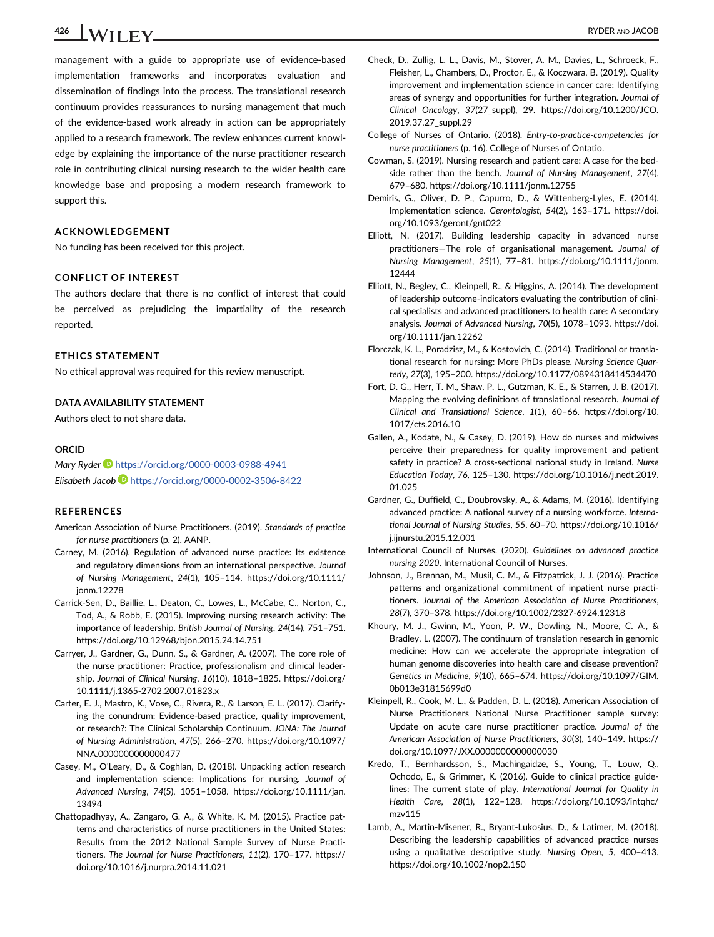$426$   $\sqrt{\text{H}}\text{F}\text{V}$  RYDER AND JACOB

management with a guide to appropriate use of evidence-based implementation frameworks and incorporates evaluation and dissemination of findings into the process. The translational research continuum provides reassurances to nursing management that much of the evidence-based work already in action can be appropriately applied to a research framework. The review enhances current knowledge by explaining the importance of the nurse practitioner research role in contributing clinical nursing research to the wider health care knowledge base and proposing a modern research framework to support this.

#### ACKNOWLEDGEMENT

No funding has been received for this project.

#### CONFLICT OF INTEREST

The authors declare that there is no conflict of interest that could be perceived as prejudicing the impartiality of the research reported.

#### ETHICS STATEMENT

No ethical approval was required for this review manuscript.

#### DATA AVAILABILITY STATEMENT

Authors elect to not share data.

#### **ORCID**

Mary Ryder D <https://orcid.org/0000-0003-0988-4941> Elisabeth Jacob <https://orcid.org/0000-0002-3506-8422>

#### REFERENCES

- American Association of Nurse Practitioners. (2019). Standards of practice for nurse practitioners (p. 2). AANP.
- Carney, M. (2016). Regulation of advanced nurse practice: Its existence and regulatory dimensions from an international perspective. Journal of Nursing Management, 24(1), 105–114. [https://doi.org/10.1111/](https://doi.org/10.1111/jonm.12278) [jonm.12278](https://doi.org/10.1111/jonm.12278)
- Carrick-Sen, D., Baillie, L., Deaton, C., Lowes, L., McCabe, C., Norton, C., Tod, A., & Robb, E. (2015). Improving nursing research activity: The importance of leadership. British Journal of Nursing, 24(14), 751–751. <https://doi.org/10.12968/bjon.2015.24.14.751>
- Carryer, J., Gardner, G., Dunn, S., & Gardner, A. (2007). The core role of the nurse practitioner: Practice, professionalism and clinical leadership. Journal of Clinical Nursing, 16(10), 1818–1825. [https://doi.org/](https://doi.org/10.1111/j.1365-2702.2007.01823.x) [10.1111/j.1365-2702.2007.01823.x](https://doi.org/10.1111/j.1365-2702.2007.01823.x)
- Carter, E. J., Mastro, K., Vose, C., Rivera, R., & Larson, E. L. (2017). Clarifying the conundrum: Evidence-based practice, quality improvement, or research?: The Clinical Scholarship Continuum. JONA: The Journal of Nursing Administration, 47(5), 266–270. [https://doi.org/10.1097/](https://doi.org/10.1097/NNA.0000000000000477) [NNA.0000000000000477](https://doi.org/10.1097/NNA.0000000000000477)
- Casey, M., O'Leary, D., & Coghlan, D. (2018). Unpacking action research and implementation science: Implications for nursing. Journal of Advanced Nursing, 74(5), 1051–1058. [https://doi.org/10.1111/jan.](https://doi.org/10.1111/jan.13494) [13494](https://doi.org/10.1111/jan.13494)
- Chattopadhyay, A., Zangaro, G. A., & White, K. M. (2015). Practice patterns and characteristics of nurse practitioners in the United States: Results from the 2012 National Sample Survey of Nurse Practitioners. The Journal for Nurse Practitioners, 11(2), 170–177. [https://](https://doi.org/10.1016/j.nurpra.2014.11.021) [doi.org/10.1016/j.nurpra.2014.11.021](https://doi.org/10.1016/j.nurpra.2014.11.021)
- Check, D., Zullig, L. L., Davis, M., Stover, A. M., Davies, L., Schroeck, F., Fleisher, L., Chambers, D., Proctor, E., & Koczwara, B. (2019). Quality improvement and implementation science in cancer care: Identifying areas of synergy and opportunities for further integration. Journal of Clinical Oncology, 37(27\_suppl), 29. [https://doi.org/10.1200/JCO.](https://doi.org/10.1200/JCO.2019.37.27_suppl.29) [2019.37.27\\_suppl.29](https://doi.org/10.1200/JCO.2019.37.27_suppl.29)
- College of Nurses of Ontario. (2018). Entry-to-practice-competencies for nurse practitioners (p. 16). College of Nurses of Ontatio.
- Cowman, S. (2019). Nursing research and patient care: A case for the bedside rather than the bench. Journal of Nursing Management, 27(4), 679–680.<https://doi.org/10.1111/jonm.12755>
- Demiris, G., Oliver, D. P., Capurro, D., & Wittenberg-Lyles, E. (2014). Implementation science. Gerontologist, 54(2), 163–171. [https://doi.](https://doi.org/10.1093/geront/gnt022) [org/10.1093/geront/gnt022](https://doi.org/10.1093/geront/gnt022)
- Elliott, N. (2017). Building leadership capacity in advanced nurse practitioners—The role of organisational management. Journal of Nursing Management, 25(1), 77–81. [https://doi.org/10.1111/jonm.](https://doi.org/10.1111/jonm.12444) [12444](https://doi.org/10.1111/jonm.12444)
- Elliott, N., Begley, C., Kleinpell, R., & Higgins, A. (2014). The development of leadership outcome-indicators evaluating the contribution of clinical specialists and advanced practitioners to health care: A secondary analysis. Journal of Advanced Nursing, 70(5), 1078–1093. [https://doi.](https://doi.org/10.1111/jan.12262) [org/10.1111/jan.12262](https://doi.org/10.1111/jan.12262)
- Florczak, K. L., Poradzisz, M., & Kostovich, C. (2014). Traditional or translational research for nursing: More PhDs please. Nursing Science Quarterly, 27(3), 195–200.<https://doi.org/10.1177/0894318414534470>
- Fort, D. G., Herr, T. M., Shaw, P. L., Gutzman, K. E., & Starren, J. B. (2017). Mapping the evolving definitions of translational research. Journal of Clinical and Translational Science, 1(1), 60–66. [https://doi.org/10.](https://doi.org/10.1017/cts.2016.10) [1017/cts.2016.10](https://doi.org/10.1017/cts.2016.10)
- Gallen, A., Kodate, N., & Casey, D. (2019). How do nurses and midwives perceive their preparedness for quality improvement and patient safety in practice? A cross-sectional national study in Ireland. Nurse Education Today, 76, 125–130. [https://doi.org/10.1016/j.nedt.2019.](https://doi.org/10.1016/j.nedt.2019.01.025) [01.025](https://doi.org/10.1016/j.nedt.2019.01.025)
- Gardner, G., Duffield, C., Doubrovsky, A., & Adams, M. (2016). Identifying advanced practice: A national survey of a nursing workforce. International Journal of Nursing Studies, 55, 60–70. [https://doi.org/10.1016/](https://doi.org/10.1016/j.ijnurstu.2015.12.001) [j.ijnurstu.2015.12.001](https://doi.org/10.1016/j.ijnurstu.2015.12.001)
- International Council of Nurses. (2020). Guidelines on advanced practice nursing 2020. International Council of Nurses.
- Johnson, J., Brennan, M., Musil, C. M., & Fitzpatrick, J. J. (2016). Practice patterns and organizational commitment of inpatient nurse practitioners. Journal of the American Association of Nurse Practitioners, 28(7), 370–378.<https://doi.org/10.1002/2327-6924.12318>
- Khoury, M. J., Gwinn, M., Yoon, P. W., Dowling, N., Moore, C. A., & Bradley, L. (2007). The continuum of translation research in genomic medicine: How can we accelerate the appropriate integration of human genome discoveries into health care and disease prevention? Genetics in Medicine, 9(10), 665–674. [https://doi.org/10.1097/GIM.](https://doi.org/10.1097/GIM.0b013e31815699d0) [0b013e31815699d0](https://doi.org/10.1097/GIM.0b013e31815699d0)
- Kleinpell, R., Cook, M. L., & Padden, D. L. (2018). American Association of Nurse Practitioners National Nurse Practitioner sample survey: Update on acute care nurse practitioner practice. Journal of the American Association of Nurse Practitioners, 30(3), 140–149. [https://](https://doi.org/10.1097/JXX.0000000000000030) [doi.org/10.1097/JXX.0000000000000030](https://doi.org/10.1097/JXX.0000000000000030)
- Kredo, T., Bernhardsson, S., Machingaidze, S., Young, T., Louw, Q., Ochodo, E., & Grimmer, K. (2016). Guide to clinical practice guidelines: The current state of play. International Journal for Quality in Health Care, 28(1), 122–128. [https://doi.org/10.1093/intqhc/](https://doi.org/10.1093/intqhc/mzv115) [mzv115](https://doi.org/10.1093/intqhc/mzv115)
- Lamb, A., Martin-Misener, R., Bryant-Lukosius, D., & Latimer, M. (2018). Describing the leadership capabilities of advanced practice nurses using a qualitative descriptive study. Nursing Open, 5, 400–413. <https://doi.org/10.1002/nop2.150>